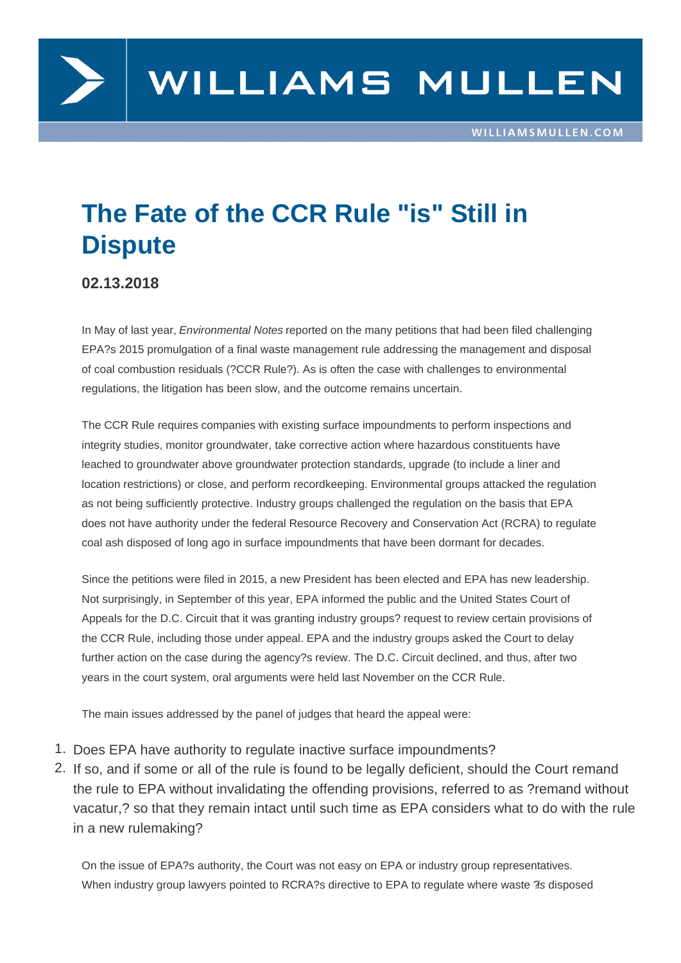

## **The Fate of the CCR Rule "is" Still in Dispute**

**02.13.2018**

In May of last year, Environmental Notes reported on the many petitions that had been filed challenging EPA?s 2015 promulgation of a final waste management rule addressing the management and disposal of coal combustion residuals (?CCR Rule?). As is often the case with challenges to environmental regulations, the litigation has been slow, and the outcome remains uncertain.

The CCR Rule requires companies with existing surface impoundments to perform inspections and integrity studies, monitor groundwater, take corrective action where hazardous constituents have leached to groundwater above groundwater protection standards, upgrade (to include a liner and location restrictions) or close, and perform recordkeeping. Environmental groups attacked the regulation as not being sufficiently protective. Industry groups challenged the regulation on the basis that EPA does not have authority under the federal Resource Recovery and Conservation Act (RCRA) to regulate coal ash disposed of long ago in surface impoundments that have been dormant for decades.

Since the petitions were filed in 2015, a new President has been elected and EPA has new leadership. Not surprisingly, in September of this year, EPA informed the public and the United States Court of Appeals for the D.C. Circuit that it was granting industry groups? request to review certain provisions of the CCR Rule, including those under appeal. EPA and the industry groups asked the Court to delay further action on the case during the agency?s review. The D.C. Circuit declined, and thus, after two years in the court system, oral arguments were held last November on the CCR Rule.

The main issues addressed by the panel of judges that heard the appeal were:

- 1. Does EPA have authority to regulate inactive surface impoundments?
- 2. If so, and if some or all of the rule is found to be legally deficient, should the Court remand the rule to EPA without invalidating the offending provisions, referred to as ?remand without vacatur,? so that they remain intact until such time as EPA considers what to do with the rule in a new rulemaking?

On the issue of EPA?s authority, the Court was not easy on EPA or industry group representatives. When industry group lawyers pointed to RCRA?s directive to EPA to regulate where waste ?is disposed